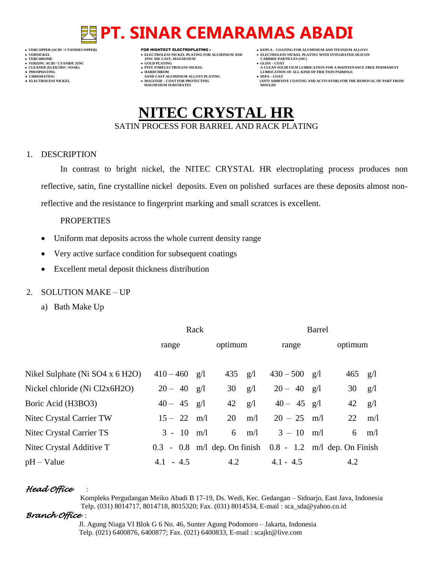- 
- 

- **VERT ASSESSED ASSESSED ASSESSED ASSESSED ASSESSED ASSESSED ASSESSED ASSESSED ASSESSED ASSESSED ASSESSED ASSESSED ASSESSED ASSESSED ASSESSED ASSESSED ASSESSED ASSESSED ASSESSED ASSESSED ASSESSED ASSESSED ASSESSED ASSESSED**
- **VERZINC ACID / CYANIDE ZINC GOLD PLATING GLISS – COAT**
	-
- **● CHROMATING SAND CAST ALUMINIUM ALLOYS PLATING SEPA – COAT MAGNESIUM SUBSTRATES MOULDS**
- **VERCOPPER (ACID / CYANIDECOPPER)** FOR HIGHTECT ELECTROPLATING :  **KEPLA – COATING FOR ALUMINIUM AND TITANIUM ALLOYS**
- **VERNICKEL ELECTROLESS NICKEL PLATING FOR ALUMINIUM AND ELECTROLESS NICKEL PLATING WITH INTEGRATED SILICON**
	-
- **CLEANER (ELEKTRO / SOAK) PTFE FORELECTROLESS NICKEL A CLEAN SOLID FILM LUBRICATION FOR A MAINTENANCE FREE PERMANENT ● PHOSPHATING HARDCHROM LUBRICATION OF ALL KIND OF FRICTION PAIRINGS**
- **● ELECTROLESS NICKEL MAGOXID – COAT FOR PROTECTING (ANTI ADHESIVE COATING AND ACTIVATOR) FOR THE REMOVAL OF PART FROM**

## **NITEC CRYSTAL HR** SATIN PROCESS FOR BARREL AND RACK PLATING

#### 1. DESCRIPTION

In contrast to bright nickel, the NITEC CRYSTAL HR electroplating process produces non reflective, satin, fine crystalline nickel deposits. Even on polished surfaces are these deposits almost nonreflective and the resistance to fingerprint marking and small scratces is excellent.

#### PROPERTIES

- Uniform mat deposits across the whole current density range
- Very active surface condition for subsequent coatings
- Excellent metal deposit thickness distribution

### 2. SOLUTION MAKE – UP

a) Bath Make Up

|                                 | Rack            |     | <b>Barrel</b> |     |                                                               |  |           |                |
|---------------------------------|-----------------|-----|---------------|-----|---------------------------------------------------------------|--|-----------|----------------|
|                                 | range           |     | optimum       |     | range                                                         |  | optimum   |                |
| Nikel Sulphate (Ni SO4 x 6 H2O) | $410 - 460$ g/l |     | 435 $g/l$     |     | $430 - 500$ g/l                                               |  | $465$ g/l |                |
| Nickel chloride (Ni Cl2x6H2O)   | $20 - 40$ g/l   |     | 30            | g/l | $20 - 40$ g/l                                                 |  | 30        | g/l            |
| Boric Acid (H3BO3)              | $40 - 45$ g/l   |     | 42            | g/l | $40 - 45$ g/l                                                 |  |           | $42 \quad g/l$ |
| Nitec Crystal Carrier TW        | $15 - 22$ m/l   |     | 20            | m/l | $20 - 25$ m/l                                                 |  | 22        | m/l            |
| Nitec Crystal Carrier TS        | $3 - 10$        | m/l | 6             | m/l | $3 - 10$ m/l                                                  |  |           | $6 \quad m/l$  |
| Nitec Crystal Additive T        |                 |     |               |     | $0.3 - 0.8$ m/l dep. On finish $0.8 - 1.2$ m/l dep. On Finish |  |           |                |
| $pH - Value$                    | $4.1 - 4.5$     |     | 4.2           |     | $4.1 - 4.5$                                                   |  | 4.2       |                |

### *Head Office* :

 Kompleks Pergudangan Meiko Abadi B 17-19, Ds. Wedi, Kec. Gedangan – Sidoarjo, East Java, Indonesia Telp. (031) 8014717, 8014718, 8015320; Fax. (031) 8014534, E-mail : sca\_sda@yahoo.co.id

### *Branch Office* :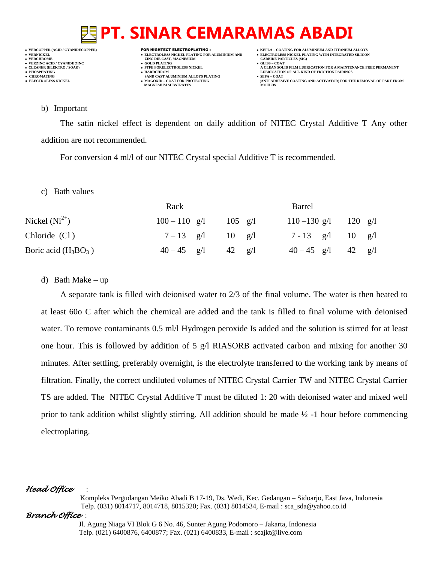## **VERNICKEL ELECTROLESS NICKEL PLATING FOR ALUMINIUM AND ELECTROLESS NICKEL PLATING WITH INTEGRATED SILICON VERZINC ACID / CYANIDE ZINC GOLD PLATING GLISS – COAT**

- 
- 

- **VERFORM ZINC DIE CAST, MAGNESIUM CARBIDE PARTICLES (SIC)**<br> **CARBIDE PARTING**
- 
- **PHOSPHATING HARDCHROM LUBRICATION OF ALL KIND OF FRICTION PAIRINGS •** CHROMATING **CHROMATING • CHROMATING • CHROMATING • CHROMATING • CHROMATING • MAGOXID** – **COAT** FOR PROTECTING **MAGNESIUM SUBSTRATES**
- **VERCOPPER (ACID / CYANIDECOPPER)** FOR HIGHTECT ELECTROPLATING :  **KEPLA – COATING FOR ALUMINIUM AND TITANIUM ALLOYS**
	-
- **CLEANER (ELEKTRO / SOAK) PTFE FORELECTROLESS NICKEL A CLEAN SOLID FILM LUBRICATION FOR A MAINTENANCE FREE PERMANENT**
	- **ELECTROLESS AND ACTIVATOR) FOR THE REMOVAL OF PART FROM (ANTI ADHESIVE COATING AND ACTIVATOR) FOR THE REMOVAL OF PART FROM**

#### b) Important

The satin nickel effect is dependent on daily addition of NITEC Crystal Additive T Any other addition are not recommended.

For conversion 4 ml/l of our NITEC Crystal special Additive T is recommended.

c) Bath values

|                        | Rack            | Barrel                                            |  |  |
|------------------------|-----------------|---------------------------------------------------|--|--|
| Nickel $(Ni^{2+})$     | $100 - 110$ g/l | 120 $g/l$<br>$110 - 130$ g/l<br>$105 \text{ g/l}$ |  |  |
| Chloride (Cl)          | $7 - 13$ g/l    | $7 - 13$ g/l<br>$10 \text{ g}/1$<br>10<br>g/I     |  |  |
| Boric acid $(H_3BO_3)$ | $40 - 45$ g/l   | $42 \quad g/l$<br>$40 - 45$ g/l<br>42<br>g/l      |  |  |

### d) Bath Make – up

A separate tank is filled with deionised water to 2/3 of the final volume. The water is then heated to at least 60o C after which the chemical are added and the tank is filled to final volume with deionised water. To remove contaminants 0.5 ml/l Hydrogen peroxide Is added and the solution is stirred for at least one hour. This is followed by addition of 5  $g/I$  RIASORB activated carbon and mixing for another 30 minutes. After settling, preferably overnight, is the electrolyte transferred to the working tank by means of filtration. Finally, the correct undiluted volumes of NITEC Crystal Carrier TW and NITEC Crystal Carrier TS are added. The NITEC Crystal Additive T must be diluted 1: 20 with deionised water and mixed well prior to tank addition whilst slightly stirring. All addition should be made ½ -1 hour before commencing electroplating.

### *Head Office* :

 Kompleks Pergudangan Meiko Abadi B 17-19, Ds. Wedi, Kec. Gedangan – Sidoarjo, East Java, Indonesia Telp. (031) 8014717, 8014718, 8015320; Fax. (031) 8014534, E-mail : sca\_sda@yahoo.co.id

### *Branch Office* :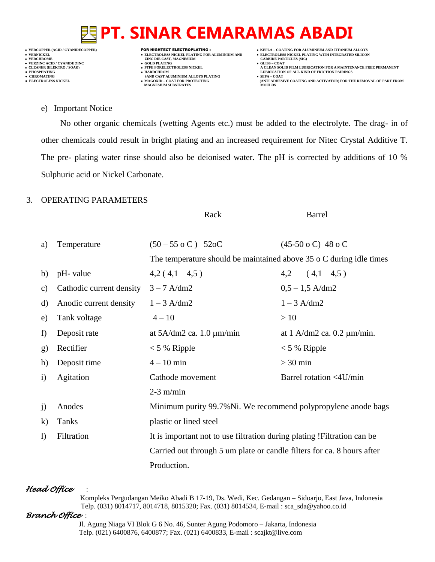**VERNICKEL ELECTROLESS NICKEL PLATING FOR ALUMINIUM AND ELECTROLESS NICKEL PLATING WITH INTEGRATED SILICON VERZINC ACID / CYANIDE ZINC GOLD PLATING GLISS – COAT**

- 
- 

- **VERT ASSESSED ASSESSED ASSESSED ASSESSED ASSESSED ASSESSED ASSESSED ASSESSED ASSESSED ASSESSED ASSESSED ASSESSED ASSESSED ASSESSED ASSESSED ASSESSED ASSESSED ASSESSED ASSESSED ASSESSED ASSESSED ASSESSED ASSESSED ASSESSED**
- 
- **PHOSPHATING HARDCHROM LUBRICATION OF ALL KIND OF FRICTION PAIRINGS • CHROMATING • CHROMATING • CHROMATING • CHROMATING • CHROMATING • CHROMATING • MAGOXID** – **COAT FOR PROTECTING MAGNESIUM SUBSTRATES**
- **VERCOPPER (ACID / CYANIDECOPPER)** FOR HIGHTECT ELECTROPLATING :  **KEPLA – COATING FOR ALUMINIUM AND TITANIUM ALLOYS**
	-
- **CLEANER (ELEKTRO / SOAK) PTFE FORELECTROLESS NICKEL A CLEAN SOLID FILM LUBRICATION FOR A MAINTENANCE FREE PERMANENT**
	- **● ELECTROLESS NICKEL MAGOXID – COAT FOR PROTECTING (ANTI ADHESIVE COATING AND ACTIVATOR) FOR THE REMOVAL OF PART FROM**

e) Important Notice

No other organic chemicals (wetting Agents etc.) must be added to the electrolyte. The drag- in of other chemicals could result in bright plating and an increased requirement for Nitec Crystal Additive T. The pre- plating water rinse should also be deionised water. The pH is corrected by additions of 10 % Sulphuric acid or Nickel Carbonate.

### 3. OPERATING PARAMETERS

|               |                          | Rack                                                                     | <b>Barrel</b>                     |  |
|---------------|--------------------------|--------------------------------------------------------------------------|-----------------------------------|--|
| a)            | Temperature              | $(50 - 55 \text{ o C})$ 52oC                                             | $(45-50 \text{ o C})$ 48 o C      |  |
|               |                          | The temperature should be maintained above 35 o C during idle times      |                                   |  |
| b)            | pH- value                | $4,2(4,1-4,5)$                                                           | $4,2$ $(4,1-4,5)$                 |  |
| $\mathbf{c})$ | Cathodic current density | $3 - 7$ A/dm2                                                            | $0,5 - 1,5$ A/dm2                 |  |
| $\mathbf{d}$  | Anodic current density   | $1 - 3$ A/dm2                                                            | $1 - 3$ A/dm2                     |  |
| e)            | Tank voltage             | $4 - 10$                                                                 | >10                               |  |
| f)            | Deposit rate             | at $5A/dm2$ ca. 1.0 $\mu$ m/min                                          | at $1$ A/dm2 ca. 0.2 $\mu$ m/min. |  |
| g)            | Rectifier                | $< 5 %$ Ripple                                                           | $< 5 %$ Ripple                    |  |
| h)            | Deposit time             | $4 - 10$ min                                                             | $>30$ min                         |  |
| $\mathbf{i}$  | Agitation                | Cathode movement                                                         | Barrel rotation <4U/min           |  |
|               |                          | $2-3$ m/min                                                              |                                   |  |
| j)            | Anodes                   | Minimum purity 99.7% Ni. We recommend polypropylene anode bags           |                                   |  |
| $\bf k)$      | Tanks                    | plastic or lined steel                                                   |                                   |  |
| $\bf{I}$      | Filtration               | It is important not to use filtration during plating ! Filtration can be |                                   |  |
|               |                          | Carried out through 5 um plate or candle filters for ca. 8 hours after   |                                   |  |
|               |                          | Production.                                                              |                                   |  |

### *Head Office* :

 Kompleks Pergudangan Meiko Abadi B 17-19, Ds. Wedi, Kec. Gedangan – Sidoarjo, East Java, Indonesia Telp. (031) 8014717, 8014718, 8015320; Fax. (031) 8014534, E-mail : sca\_sda@yahoo.co.id

### *Branch Office* :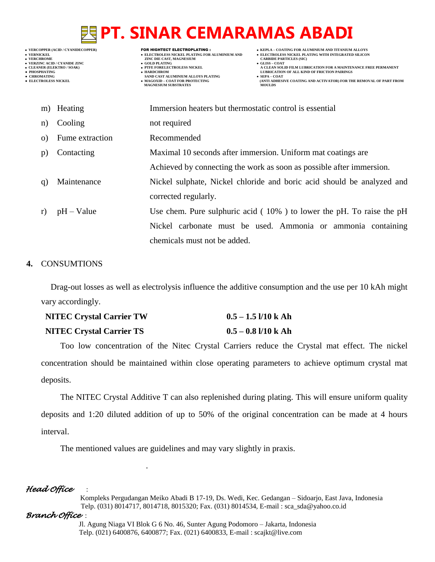- -

- 
- 

- **VERT ASSESSED ASSESSED ASSESSED ASSESSED ASSESSED ASSESSED ASSESSED ASSESSED ASSESSED ASSESSED ASSESSED ASSESSED ASSESSED ASSESSED ASSESSED ASSESSED ASSESSED ASSESSED ASSESSED ASSESSED ASSESSED ASSESSED ASSESSED ASSESSED**
- **VERZINC ACID / CYANIDE ZINC GOLD PLATING GLISS – COAT**
	-
- **● CHROMATING SAND CAST ALUMINIUM ALLOYS PLATING SEPA – COAT • MAGOXID – COAT FOR PROTECTING<br>MAGNESIUM SUBSTRATES**
- **VERCOPPER (ACID / CYANIDECOPPER)** FOR HIGHTECT ELECTROPLATING :  **KEPLA – COATING FOR ALUMINIUM AND TITANIUM ALLOYS**
- **VERNICKEL ELECTROLESS NICKEL PLATING FOR ALUMINIUM AND ELECTROLESS NICKEL PLATING WITH INTEGRATED SILICON**
	-
- **CLEANER (ELEKTRO / SOAK) PTFE FORELECTROLESS NICKEL A CLEAN SOLID FILM LUBRICATION FOR A MAINTENANCE FREE PERMANENT ● PHOSPHATING HARDCHROM LUBRICATION OF ALL KIND OF FRICTION PAIRINGS** 
	- **ELECTROLESS NICKELL FOR ARTIFICATION FOR THE REMOVAL OF PART FROM MOULDS**

|          | m) Heating      | Immersion heaters but thermostatic control is essential                 |
|----------|-----------------|-------------------------------------------------------------------------|
| n)       | Cooling         | not required                                                            |
| $\Omega$ | Fume extraction | Recommended                                                             |
| p)       | Contacting      | Maximal 10 seconds after immersion. Uniform mat coatings are            |
|          |                 | Achieved by connecting the work as soon as possible after immersion.    |
| q)       | Maintenance     | Nickel sulphate, Nickel chloride and boric acid should be analyzed and  |
|          |                 | corrected regularly.                                                    |
| r)       | $pH - Value$    | Use chem. Pure sulphuric acid $(10\%)$ to lower the pH. To raise the pH |
|          |                 | Nickel carbonate must be used. Ammonia or ammonia containing            |
|          |                 | chemicals must not be added.                                            |

### **4.** CONSUMTIONS

Drag-out losses as well as electrolysis influence the additive consumption and the use per 10 kAh might vary accordingly.

| <b>NITEC Crystal Carrier TW</b> | $0.5 - 1.5$ 1/10 k Ah |
|---------------------------------|-----------------------|
| <b>NITEC Crystal Carrier TS</b> | $0.5 - 0.8$ 1/10 k Ah |

Too low concentration of the Nitec Crystal Carriers reduce the Crystal mat effect. The nickel concentration should be maintained within close operating parameters to achieve optimum crystal mat deposits.

The NITEC Crystal Additive T can also replenished during plating. This will ensure uniform quality deposits and 1:20 diluted addition of up to 50% of the original concentration can be made at 4 hours interval.

The mentioned values are guidelines and may vary slightly in praxis.

## *Head Office* :

.

 Kompleks Pergudangan Meiko Abadi B 17-19, Ds. Wedi, Kec. Gedangan – Sidoarjo, East Java, Indonesia Telp. (031) 8014717, 8014718, 8015320; Fax. (031) 8014534, E-mail : sca\_sda@yahoo.co.id

## *Branch Office* :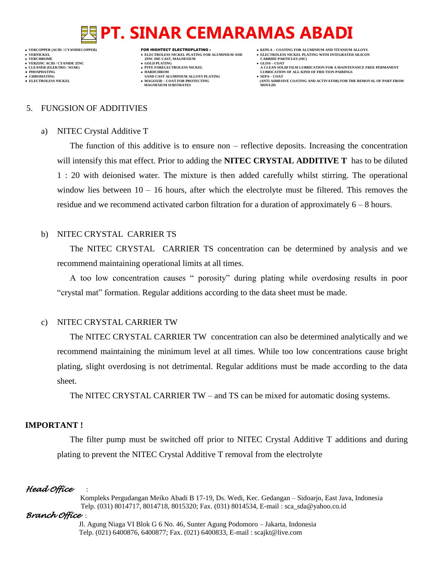**VERFORM ZINC DIE CAST, MAGNESIUM CARBIDE PARTICLES (SIC)**<br> **CARBIDE PARTING VERZINC ACID / CYANIDE ZINC GOLD PLATING GLISS – COAT**

- 
- **● CHROMATING SAND CAST ALUMINIUM ALLOYS PLATING SEPA – COAT MAGNESIUM SUBSTRATES**
- **VERCOPPER (ACID / CYANIDECOPPER)** FOR HIGHTECT ELECTROPLATING :  **KEPLA – COATING FOR ALUMINIUM AND TITANIUM ALLOYS**
- **VERNICKEL ELECTROLESS NICKEL PLATING FOR ALUMINIUM AND ELECTROLESS NICKEL PLATING WITH INTEGRATED SILICON**
	-
- **CLEANER (ELEKTRO / SOAK) PTFE FORELECTROLESS NICKEL A CLEAN SOLID FILM LUBRICATION FOR A MAINTENANCE FREE PERMANENT ● PHOSPHATING HARDCHROM LUBRICATION OF ALL KIND OF FRICTION PAIRINGS** 
	- **ELECTROLESS AND ACTIVATOR) FOR THE REMOVAL OF PART FROM (ANTI ADHESIVE COATING AND ACTIVATOR) FOR THE REMOVAL OF PART FROM**

#### 5. FUNGSION OF ADDITIVIES

#### a) NITEC Crystal Additive T

The function of this additive is to ensure non – reflective deposits. Increasing the concentration will intensify this mat effect. Prior to adding the **NITEC CRYSTAL ADDITIVE T** has to be diluted 1 : 20 with deionised water. The mixture is then added carefully whilst stirring. The operational window lies between  $10 - 16$  hours, after which the electrolyte must be filtered. This removes the residue and we recommend activated carbon filtration for a duration of approximately 6 – 8 hours.

### b) NITEC CRYSTAL CARRIER TS

The NITEC CRYSTAL CARRIER TS concentration can be determined by analysis and we recommend maintaining operational limits at all times.

A too low concentration causes " porosity" during plating while overdosing results in poor "crystal mat" formation. Regular additions according to the data sheet must be made.

### c) NITEC CRYSTAL CARRIER TW

The NITEC CRYSTAL CARRIER TW concentration can also be determined analytically and we recommend maintaining the minimum level at all times. While too low concentrations cause bright plating, slight overdosing is not detrimental. Regular additions must be made according to the data sheet.

The NITEC CRYSTAL CARRIER TW – and TS can be mixed for automatic dosing systems.

### **IMPORTANT !**

The filter pump must be switched off prior to NITEC Crystal Additive T additions and during plating to prevent the NITEC Crystal Additive T removal from the electrolyte

### *Head Office* :

 Kompleks Pergudangan Meiko Abadi B 17-19, Ds. Wedi, Kec. Gedangan – Sidoarjo, East Java, Indonesia Telp. (031) 8014717, 8014718, 8015320; Fax. (031) 8014534, E-mail : sca\_sda@yahoo.co.id

### *Branch Office* :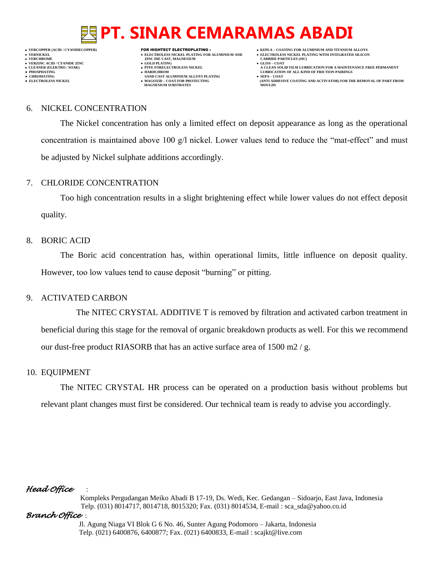**VERNICKEL ELECTROLESS NICKEL PLATING FOR ALUMINIUM AND ELECTROLESS NICKEL PLATING WITH INTEGRATED SILICON**

- **VERFORM ZINC DIE CAST, MAGNESIUM CARBIDE PARTICLES (SIC)**<br> **CARBIDE PARTING**
- 
- 
- 
- 

**VERZINC ACID / CYANIDE ZINC GOLD PLATING GLISS – COAT**

- 
- **● CHROMATING SAND CAST ALUMINIUM ALLOYS PLATING SEPA – COAT MAGNESIUM SUBSTRATES**
- **VERCOPPER (ACID / CYANIDECOPPER)** FOR HIGHTECT ELECTROPLATING :  **KEPLA – COATING FOR ALUMINIUM AND TITANIUM ALLOYS**
	-
- **CLEANER (ELEKTRO / SOAK) PTFE FORELECTROLESS NICKEL A CLEAN SOLID FILM LUBRICATION FOR A MAINTENANCE FREE PERMANENT ● PHOSPHATING HARDCHROM LUBRICATION OF ALL KIND OF FRICTION PAIRINGS** 
	- **ELECTROLESS AND ACTIVATOR) FOR THE REMOVAL OF PART FROM (ANTI ADHESIVE COATING AND ACTIVATOR) FOR THE REMOVAL OF PART FROM**

#### 6. NICKEL CONCENTRATION

The Nickel concentration has only a limited effect on deposit appearance as long as the operational concentration is maintained above 100 g/l nickel. Lower values tend to reduce the "mat-effect" and must be adjusted by Nickel sulphate additions accordingly.

### 7. CHLORIDE CONCENTRATION

Too high concentration results in a slight brightening effect while lower values do not effect deposit quality.

### 8. BORIC ACID

The Boric acid concentration has, within operational limits, little influence on deposit quality. However, too low values tend to cause deposit "burning" or pitting.

## 9. ACTIVATED CARBON

The NITEC CRYSTAL ADDITIVE T is removed by filtration and activated carbon treatment in beneficial during this stage for the removal of organic breakdown products as well. For this we recommend our dust-free product RIASORB that has an active surface area of 1500 m2 / g.

### 10. EQUIPMENT

The NITEC CRYSTAL HR process can be operated on a production basis without problems but relevant plant changes must first be considered. Our technical team is ready to advise you accordingly.

## *Head Office* :

 Kompleks Pergudangan Meiko Abadi B 17-19, Ds. Wedi, Kec. Gedangan – Sidoarjo, East Java, Indonesia Telp. (031) 8014717, 8014718, 8015320; Fax. (031) 8014534, E-mail : sca\_sda@yahoo.co.id

## *Branch Office* :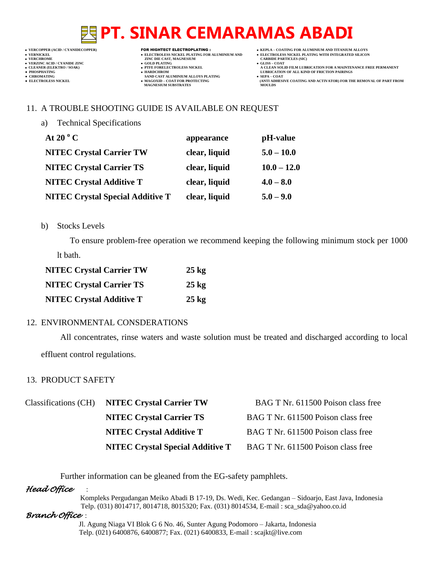- **VERT ASSESSED ASSESSED ASSESSED ASSESSED ASSESSED ASSESSED ASSESSED ASSESSED ASSESSED ASSESSED ASSESSED ASSESSED ASSESSED ASSESSED ASSESSED ASSESSED ASSESSED ASSESSED ASSESSED ASSESSED ASSESSED ASSESSED ASSESSED ASSESSED VERZINC ACID / CYANIDE ZINC GOLD PLATING GLISS – COAT**
	-
- **PHOSPHATING HARDCHROM LUBRICATION OF ALL KIND OF FRICTION PAIRINGS ● CHROMATING SAND CAST ALUMINIUM ALLOYS PLATING SEPA – COAT MAGNESIUM SUBSTRATES MOULDS**
- **VERCOPPER (ACID / CYANIDECOPPER)** FOR HIGHTECT ELECTROPLATING :  **KEPLA – COATING FOR ALUMINIUM AND TITANIUM ALLOYS**
- **VERNICKEL ELECTROLESS NICKEL PLATING FOR ALUMINIUM AND ELECTROLESS NICKEL PLATING WITH INTEGRATED SILICON**
	-
- **CLEANER (ELEKTRO / SOAK) PTFE FORELECTROLESS NICKEL A CLEAN SOLID FILM LUBRICATION FOR A MAINTENANCE FREE PERMANENT**
- **● ELECTROLESS NICKEL MAGOXID – COAT FOR PROTECTING (ANTI ADHESIVE COATING AND ACTIVATOR) FOR THE REMOVAL OF PART FROM**

### 11. A TROUBLE SHOOTING GUIDE IS AVAILABLE ON REQUEST

a) Technical Specifications

| At 20 $^{\circ}$ C                      | appearance    | pH-value      |
|-----------------------------------------|---------------|---------------|
| <b>NITEC Crystal Carrier TW</b>         | clear, liquid | $5.0 - 10.0$  |
| <b>NITEC Crystal Carrier TS</b>         | clear, liquid | $10.0 - 12.0$ |
| <b>NITEC Crystal Additive T</b>         | clear, liquid | $4.0 - 8.0$   |
| <b>NITEC Crystal Special Additive T</b> | clear, liquid | $5.0 - 9.0$   |

#### b) Stocks Levels

To ensure problem-free operation we recommend keeping the following minimum stock per 1000 lt bath.

| <b>NITEC Crystal Carrier TW</b> | $25 \text{ kg}$ |
|---------------------------------|-----------------|
| <b>NITEC Crystal Carrier TS</b> | $25 \text{ kg}$ |
| <b>NITEC Crystal Additive T</b> | $25 \text{ kg}$ |

### 12. ENVIRONMENTAL CONSDERATIONS

All concentrates, rinse waters and waste solution must be treated and discharged according to local effluent control regulations.

### 13. PRODUCT SAFETY

| Classifications (CH) NITEC Crystal Carrier TW | BAG T Nr. 611500 Poison class free |
|-----------------------------------------------|------------------------------------|
| <b>NITEC Crystal Carrier TS</b>               | BAG T Nr. 611500 Poison class free |
| <b>NITEC Crystal Additive T</b>               | BAG T Nr. 611500 Poison class free |
| <b>NITEC Crystal Special Additive T</b>       | BAG T Nr. 611500 Poison class free |

Further information can be gleaned from the EG-safety pamphlets.

### *Head Office* :

 Kompleks Pergudangan Meiko Abadi B 17-19, Ds. Wedi, Kec. Gedangan – Sidoarjo, East Java, Indonesia Telp. (031) 8014717, 8014718, 8015320; Fax. (031) 8014534, E-mail : sca\_sda@yahoo.co.id

### *Branch Office* :